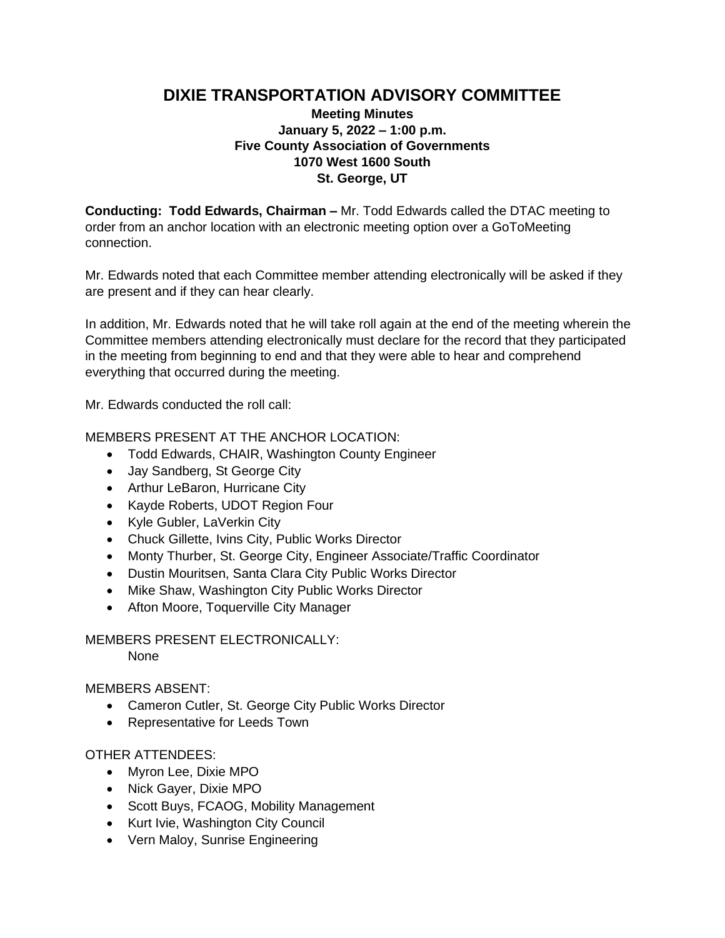# **DIXIE TRANSPORTATION ADVISORY COMMITTEE**

## **Meeting Minutes January 5, 2022 – 1:00 p.m. Five County Association of Governments 1070 West 1600 South St. George, UT**

**Conducting: Todd Edwards, Chairman –** Mr. Todd Edwards called the DTAC meeting to order from an anchor location with an electronic meeting option over a GoToMeeting connection.

Mr. Edwards noted that each Committee member attending electronically will be asked if they are present and if they can hear clearly.

In addition, Mr. Edwards noted that he will take roll again at the end of the meeting wherein the Committee members attending electronically must declare for the record that they participated in the meeting from beginning to end and that they were able to hear and comprehend everything that occurred during the meeting.

Mr. Edwards conducted the roll call:

### MEMBERS PRESENT AT THE ANCHOR LOCATION:

- Todd Edwards, CHAIR, Washington County Engineer
- Jay Sandberg, St George City
- Arthur LeBaron, Hurricane City
- Kayde Roberts, UDOT Region Four
- Kyle Gubler, LaVerkin City
- Chuck Gillette, Ivins City, Public Works Director
- Monty Thurber, St. George City, Engineer Associate/Traffic Coordinator
- Dustin Mouritsen, Santa Clara City Public Works Director
- Mike Shaw, Washington City Public Works Director
- Afton Moore, Toquerville City Manager

### MEMBERS PRESENT ELECTRONICALLY:

None

### MEMBERS ABSENT:

- Cameron Cutler, St. George City Public Works Director
- Representative for Leeds Town

### OTHER ATTENDEES:

- Myron Lee, Dixie MPO
- Nick Gayer, Dixie MPO
- Scott Buys, FCAOG, Mobility Management
- Kurt Ivie, Washington City Council
- Vern Maloy, Sunrise Engineering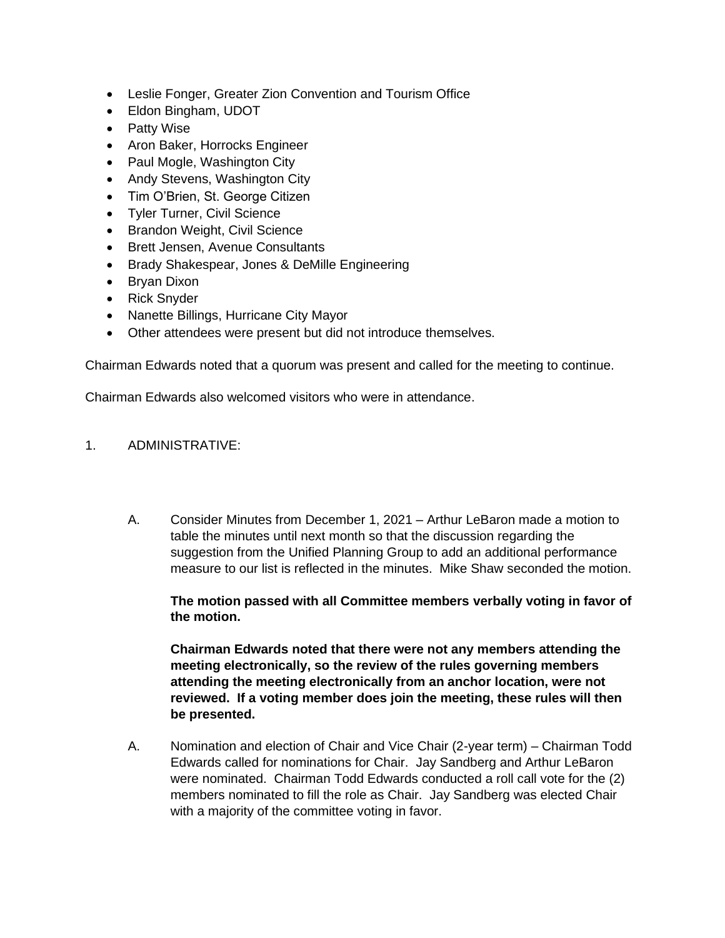- Leslie Fonger, Greater Zion Convention and Tourism Office
- Eldon Bingham, UDOT
- Patty Wise
- Aron Baker, Horrocks Engineer
- Paul Mogle, Washington City
- Andy Stevens, Washington City
- Tim O'Brien, St. George Citizen
- Tyler Turner, Civil Science
- Brandon Weight, Civil Science
- Brett Jensen, Avenue Consultants
- Brady Shakespear, Jones & DeMille Engineering
- Bryan Dixon
- Rick Snyder
- Nanette Billings, Hurricane City Mayor
- Other attendees were present but did not introduce themselves.

Chairman Edwards noted that a quorum was present and called for the meeting to continue.

Chairman Edwards also welcomed visitors who were in attendance.

### 1. ADMINISTRATIVE:

A. Consider Minutes from December 1, 2021 – Arthur LeBaron made a motion to table the minutes until next month so that the discussion regarding the suggestion from the Unified Planning Group to add an additional performance measure to our list is reflected in the minutes. Mike Shaw seconded the motion.

**The motion passed with all Committee members verbally voting in favor of the motion.**

**Chairman Edwards noted that there were not any members attending the meeting electronically, so the review of the rules governing members attending the meeting electronically from an anchor location, were not reviewed. If a voting member does join the meeting, these rules will then be presented.**

A. Nomination and election of Chair and Vice Chair (2-year term) – Chairman Todd Edwards called for nominations for Chair. Jay Sandberg and Arthur LeBaron were nominated. Chairman Todd Edwards conducted a roll call vote for the (2) members nominated to fill the role as Chair. Jay Sandberg was elected Chair with a majority of the committee voting in favor.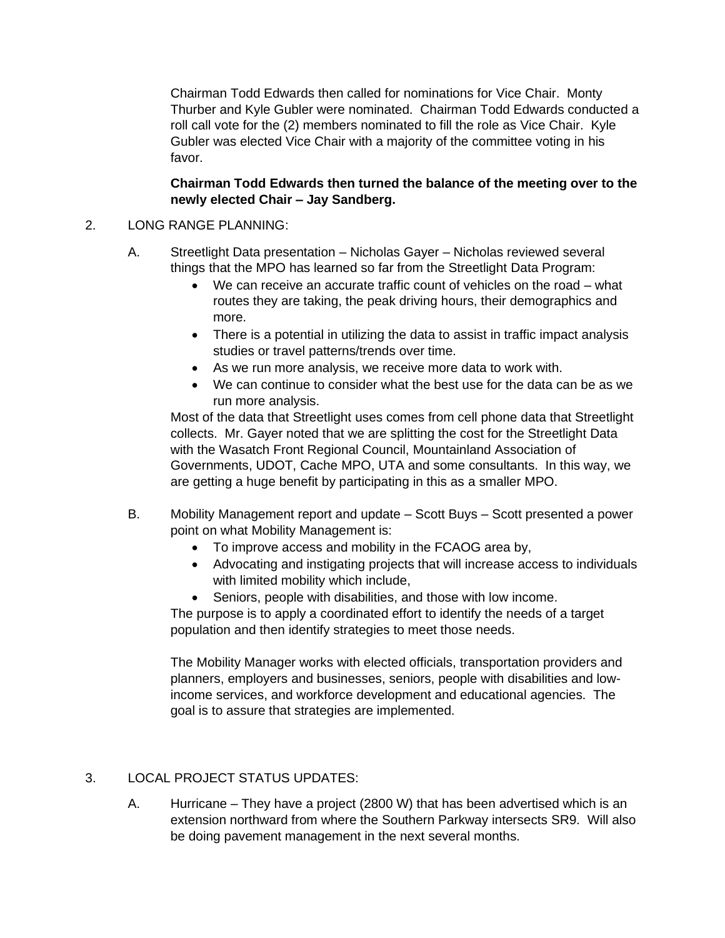Chairman Todd Edwards then called for nominations for Vice Chair. Monty Thurber and Kyle Gubler were nominated. Chairman Todd Edwards conducted a roll call vote for the (2) members nominated to fill the role as Vice Chair. Kyle Gubler was elected Vice Chair with a majority of the committee voting in his favor.

**Chairman Todd Edwards then turned the balance of the meeting over to the newly elected Chair – Jay Sandberg.**

### 2. LONG RANGE PLANNING:

- A. Streetlight Data presentation Nicholas Gayer Nicholas reviewed several things that the MPO has learned so far from the Streetlight Data Program:
	- We can receive an accurate traffic count of vehicles on the road what routes they are taking, the peak driving hours, their demographics and more.
	- There is a potential in utilizing the data to assist in traffic impact analysis studies or travel patterns/trends over time.
	- As we run more analysis, we receive more data to work with.
	- We can continue to consider what the best use for the data can be as we run more analysis.

Most of the data that Streetlight uses comes from cell phone data that Streetlight collects. Mr. Gayer noted that we are splitting the cost for the Streetlight Data with the Wasatch Front Regional Council, Mountainland Association of Governments, UDOT, Cache MPO, UTA and some consultants. In this way, we are getting a huge benefit by participating in this as a smaller MPO.

- B. Mobility Management report and update Scott Buys Scott presented a power point on what Mobility Management is:
	- To improve access and mobility in the FCAOG area by,
	- Advocating and instigating projects that will increase access to individuals with limited mobility which include,
	- Seniors, people with disabilities, and those with low income.

The purpose is to apply a coordinated effort to identify the needs of a target population and then identify strategies to meet those needs.

The Mobility Manager works with elected officials, transportation providers and planners, employers and businesses, seniors, people with disabilities and lowincome services, and workforce development and educational agencies. The goal is to assure that strategies are implemented.

### 3. LOCAL PROJECT STATUS UPDATES:

A. Hurricane – They have a project (2800 W) that has been advertised which is an extension northward from where the Southern Parkway intersects SR9. Will also be doing pavement management in the next several months.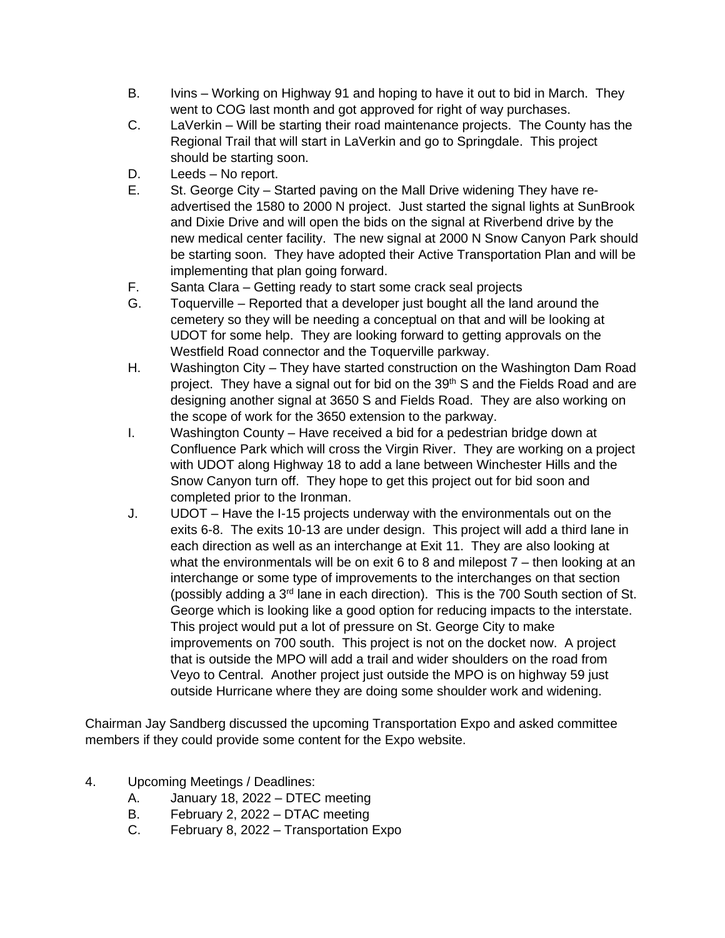- B. Ivins Working on Highway 91 and hoping to have it out to bid in March. They went to COG last month and got approved for right of way purchases.
- C. LaVerkin Will be starting their road maintenance projects. The County has the Regional Trail that will start in LaVerkin and go to Springdale. This project should be starting soon.
- D. Leeds No report.
- E. St. George City Started paving on the Mall Drive widening They have readvertised the 1580 to 2000 N project. Just started the signal lights at SunBrook and Dixie Drive and will open the bids on the signal at Riverbend drive by the new medical center facility. The new signal at 2000 N Snow Canyon Park should be starting soon. They have adopted their Active Transportation Plan and will be implementing that plan going forward.
- F. Santa Clara Getting ready to start some crack seal projects
- G. Toquerville Reported that a developer just bought all the land around the cemetery so they will be needing a conceptual on that and will be looking at UDOT for some help. They are looking forward to getting approvals on the Westfield Road connector and the Toquerville parkway.
- H. Washington City They have started construction on the Washington Dam Road project. They have a signal out for bid on the 39<sup>th</sup> S and the Fields Road and are designing another signal at 3650 S and Fields Road. They are also working on the scope of work for the 3650 extension to the parkway.
- I. Washington County Have received a bid for a pedestrian bridge down at Confluence Park which will cross the Virgin River. They are working on a project with UDOT along Highway 18 to add a lane between Winchester Hills and the Snow Canyon turn off. They hope to get this project out for bid soon and completed prior to the Ironman.
- J. UDOT Have the I-15 projects underway with the environmentals out on the exits 6-8. The exits 10-13 are under design. This project will add a third lane in each direction as well as an interchange at Exit 11. They are also looking at what the environmentals will be on exit 6 to 8 and milepost 7 – then looking at an interchange or some type of improvements to the interchanges on that section (possibly adding a 3rd lane in each direction). This is the 700 South section of St. George which is looking like a good option for reducing impacts to the interstate. This project would put a lot of pressure on St. George City to make improvements on 700 south. This project is not on the docket now. A project that is outside the MPO will add a trail and wider shoulders on the road from Veyo to Central. Another project just outside the MPO is on highway 59 just outside Hurricane where they are doing some shoulder work and widening.

Chairman Jay Sandberg discussed the upcoming Transportation Expo and asked committee members if they could provide some content for the Expo website.

- 4. Upcoming Meetings / Deadlines:
	- A. January 18, 2022 DTEC meeting
	- B. February 2, 2022 DTAC meeting
	- C. February 8, 2022 Transportation Expo